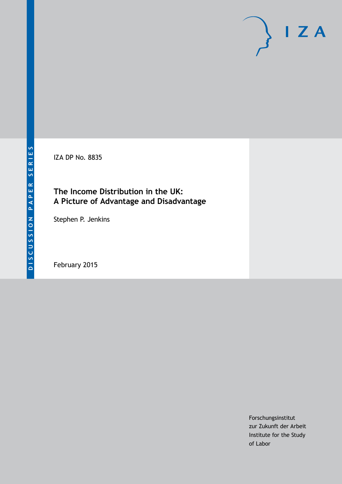IZA DP No. 8835

## **The Income Distribution in the UK: A Picture of Advantage and Disadvantage**

Stephen P. Jenkins

February 2015

Forschungsinstitut zur Zukunft der Arbeit Institute for the Study of Labor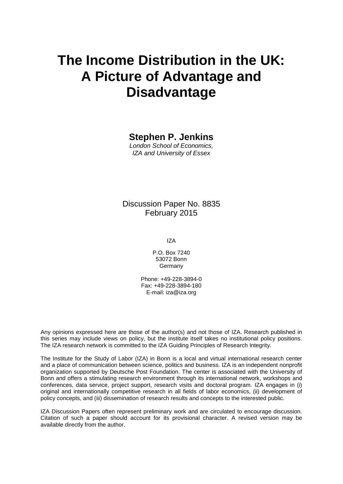## **The Income Distribution in the UK: A Picture of Advantage and Disadvantage**

## **Stephen P. Jenkins**

*London School of Economics, IZA and University of Essex*

### Discussion Paper No. 8835 February 2015

IZA

P.O. Box 7240 53072 Bonn Germany

Phone: +49-228-3894-0 Fax: +49-228-3894-180 E-mail: [iza@iza.org](mailto:iza@iza.org)

Any opinions expressed here are those of the author(s) and not those of IZA. Research published in this series may include views on policy, but the institute itself takes no institutional policy positions. The IZA research network is committed to the IZA Guiding Principles of Research Integrity.

The Institute for the Study of Labor (IZA) in Bonn is a local and virtual international research center and a place of communication between science, politics and business. IZA is an independent nonprofit organization supported by Deutsche Post Foundation. The center is associated with the University of Bonn and offers a stimulating research environment through its international network, workshops and conferences, data service, project support, research visits and doctoral program. IZA engages in (i) original and internationally competitive research in all fields of labor economics, (ii) development of policy concepts, and (iii) dissemination of research results and concepts to the interested public.

<span id="page-1-0"></span>IZA Discussion Papers often represent preliminary work and are circulated to encourage discussion. Citation of such a paper should account for its provisional character. A revised version may be available directly from the author.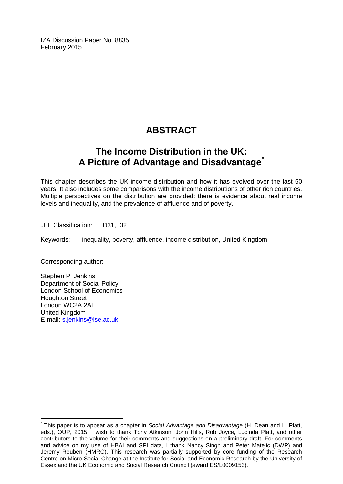IZA Discussion Paper No. 8835 February 2015

## **ABSTRACT**

## **The Income Distribution in the UK: A Picture of Advantage and Disadvantage[\\*](#page-1-0)**

This chapter describes the UK income distribution and how it has evolved over the last 50 years. It also includes some comparisons with the income distributions of other rich countries. Multiple perspectives on the distribution are provided: there is evidence about real income levels and inequality, and the prevalence of affluence and of poverty.

JEL Classification: D31, I32

Keywords: inequality, poverty, affluence, income distribution, United Kingdom

Corresponding author:

Stephen P. Jenkins Department of Social Policy London School of Economics Houghton Street London WC2A 2AE United Kingdom E-mail: [s.jenkins@lse.ac.uk](mailto:s.jenkins@lse.ac.uk)

\* This paper is to appear as a chapter in *Social Advantage and Disadvantage* (H. Dean and L. Platt, eds.), OUP, 2015. I wish to thank Tony Atkinson, John Hills, Rob Joyce, Lucinda Platt, and other contributors to the volume for their comments and suggestions on a preliminary draft. For comments and advice on my use of HBAI and SPI data, I thank Nancy Singh and Peter Matejic (DWP) and Jeremy Reuben (HMRC). This research was partially supported by core funding of the Research Centre on Micro-Social Change at the Institute for Social and Economic Research by the University of Essex and the UK Economic and Social Research Council (award ES/L0009153).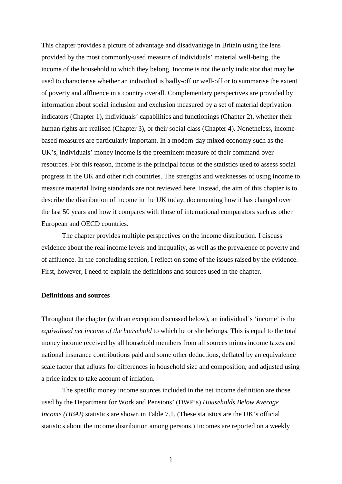This chapter provides a picture of advantage and disadvantage in Britain using the lens provided by the most commonly-used measure of individuals' material well-being, the income of the household to which they belong. Income is not the only indicator that may be used to characterise whether an individual is badly-off or well-off or to summarise the extent of poverty and affluence in a country overall. Complementary perspectives are provided by information about social inclusion and exclusion measured by a set of material deprivation indicators (Chapter 1), individuals' capabilities and functionings (Chapter 2), whether their human rights are realised (Chapter 3), or their social class (Chapter 4). Nonetheless, incomebased measures are particularly important. In a modern-day mixed economy such as the UK's, individuals' money income is the preeminent measure of their command over resources. For this reason, income is the principal focus of the statistics used to assess social progress in the UK and other rich countries. The strengths and weaknesses of using income to measure material living standards are not reviewed here. Instead, the aim of this chapter is to describe the distribution of income in the UK today, documenting how it has changed over the last 50 years and how it compares with those of international comparators such as other European and OECD countries.

The chapter provides multiple perspectives on the income distribution. I discuss evidence about the real income levels and inequality, as well as the prevalence of poverty and of affluence. In the concluding section, I reflect on some of the issues raised by the evidence. First, however, I need to explain the definitions and sources used in the chapter.

#### **Definitions and sources**

Throughout the chapter (with an exception discussed below), an individual's 'income' is the *equivalised net income of the household* to which he or she belongs. This is equal to the total money income received by all household members from all sources minus income taxes and national insurance contributions paid and some other deductions, deflated by an equivalence scale factor that adjusts for differences in household size and composition, and adjusted using a price index to take account of inflation.

The specific money income sources included in the net income definition are those used by the Department for Work and Pensions' (DWP's) *Households Below Average Income (HBAI)* statistics are shown in Table 7.1. (These statistics are the UK's official statistics about the income distribution among persons.) Incomes are reported on a weekly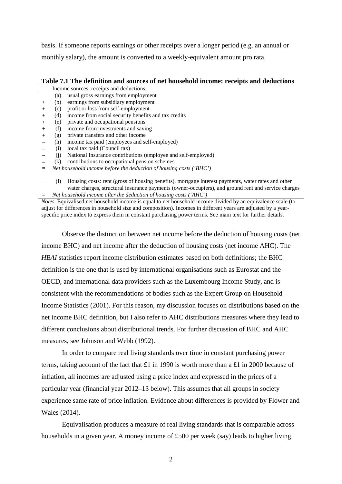basis. If someone reports earnings or other receipts over a longer period (e.g. an annual or monthly salary), the amount is converted to a weekly-equivalent amount pro rata.

|        | Income sources: receipts and deductions: |                                                                    |  |  |  |  |
|--------|------------------------------------------|--------------------------------------------------------------------|--|--|--|--|
|        | (a)                                      | usual gross earnings from employment                               |  |  |  |  |
| $+$    | (b)                                      | earnings from subsidiary employment                                |  |  |  |  |
| $+$    | (c)                                      | profit or loss from self-employment                                |  |  |  |  |
| $^{+}$ | (d)                                      | income from social security benefits and tax credits               |  |  |  |  |
| $^{+}$ | (e)                                      | private and occupational pensions                                  |  |  |  |  |
| $+$    | (f)                                      | income from investments and saving                                 |  |  |  |  |
| $+$    | (g)                                      | private transfers and other income                                 |  |  |  |  |
|        | (h)                                      | income tax paid (employees and self-employed)                      |  |  |  |  |
|        | (1)                                      | local tax paid (Council tax)                                       |  |  |  |  |
|        |                                          | National Insurance contributions (employee and self-employed)      |  |  |  |  |
|        | (k)                                      | contributions to occupational pension schemes                      |  |  |  |  |
| $=$    |                                          | Net household income before the deduction of housing costs ('BHC') |  |  |  |  |
|        |                                          |                                                                    |  |  |  |  |

**–** (l) Housing costs: rent (gross of housing benefits), mortgage interest payments, water rates and other water charges, structural insurance payments (owner-occupiers), and ground rent and service charges **=** *Net household income after the deduction of housing costs ('AHC')*

*Notes.* Equivalised net household income is equal to net household income divided by an equivalence scale (to adjust for differences in household size and composition). Incomes in different years are adjusted by a yearspecific price index to express them in constant purchasing power terms. See main text for further details.

Observe the distinction between net income before the deduction of housing costs (net income BHC) and net income after the deduction of housing costs (net income AHC). The *HBAI* statistics report income distribution estimates based on both definitions; the BHC definition is the one that is used by international organisations such as Eurostat and the OECD, and international data providers such as the Luxembourg Income Study, and is consistent with the recommendations of bodies such as the Expert Group on Household Income Statistics (2001). For this reason, my discussion focuses on distributions based on the net income BHC definition, but I also refer to AHC distributions measures where they lead to different conclusions about distributional trends. For further discussion of BHC and AHC measures, see Johnson and Webb (1992).

In order to compare real living standards over time in constant purchasing power terms, taking account of the fact that £1 in 1990 is worth more than a £1 in 2000 because of inflation, all incomes are adjusted using a price index and expressed in the prices of a particular year (financial year 2012–13 below). This assumes that all groups in society experience same rate of price inflation. Evidence about differences is provided by Flower and Wales (2014).

Equivalisation produces a measure of real living standards that is comparable across households in a given year. A money income of £500 per week (say) leads to higher living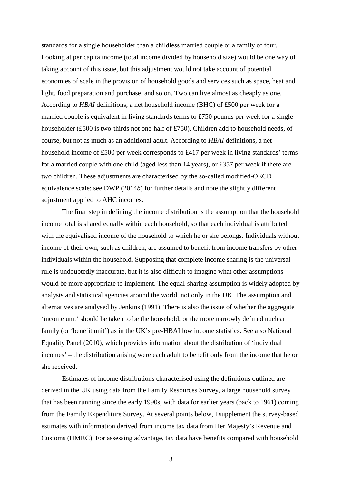standards for a single householder than a childless married couple or a family of four. Looking at per capita income (total income divided by household size) would be one way of taking account of this issue, but this adjustment would not take account of potential economies of scale in the provision of household goods and services such as space, heat and light, food preparation and purchase, and so on. Two can live almost as cheaply as one. According to *HBAI* definitions, a net household income (BHC) of £500 per week for a married couple is equivalent in living standards terms to £750 pounds per week for a single householder (£500 is two-thirds not one-half of £750). Children add to household needs, of course, but not as much as an additional adult. According to *HBAI* definitions, a net household income of £500 per week corresponds to £417 per week in living standards' terms for a married couple with one child (aged less than 14 years), or £357 per week if there are two children. These adjustments are characterised by the so-called modified-OECD equivalence scale: see DWP (2014*b*) for further details and note the slightly different adjustment applied to AHC incomes.

The final step in defining the income distribution is the assumption that the household income total is shared equally within each household, so that each individual is attributed with the equivalised income of the household to which he or she belongs. Individuals without income of their own, such as children, are assumed to benefit from income transfers by other individuals within the household. Supposing that complete income sharing is the universal rule is undoubtedly inaccurate, but it is also difficult to imagine what other assumptions would be more appropriate to implement. The equal-sharing assumption is widely adopted by analysts and statistical agencies around the world, not only in the UK. The assumption and alternatives are analysed by Jenkins (1991). There is also the issue of whether the aggregate 'income unit' should be taken to be the household, or the more narrowly defined nuclear family (or 'benefit unit') as in the UK's pre-HBAI low income statistics. See also National Equality Panel (2010), which provides information about the distribution of 'individual incomes' – the distribution arising were each adult to benefit only from the income that he or she received.

Estimates of income distributions characterised using the definitions outlined are derived in the UK using data from the Family Resources Survey, a large household survey that has been running since the early 1990s, with data for earlier years (back to 1961) coming from the Family Expenditure Survey. At several points below, I supplement the survey-based estimates with information derived from income tax data from Her Majesty's Revenue and Customs (HMRC). For assessing advantage, tax data have benefits compared with household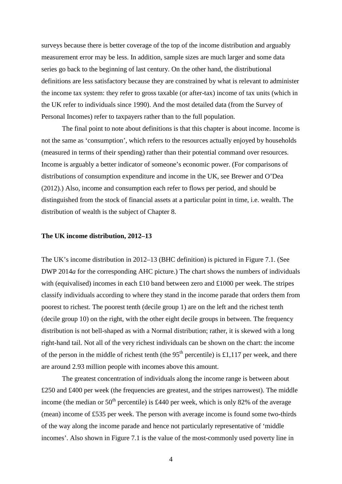surveys because there is better coverage of the top of the income distribution and arguably measurement error may be less. In addition, sample sizes are much larger and some data series go back to the beginning of last century. On the other hand, the distributional definitions are less satisfactory because they are constrained by what is relevant to administer the income tax system: they refer to gross taxable (or after-tax) income of tax units (which in the UK refer to individuals since 1990). And the most detailed data (from the Survey of Personal Incomes) refer to taxpayers rather than to the full population.

The final point to note about definitions is that this chapter is about income. Income is not the same as 'consumption', which refers to the resources actually enjoyed by households (measured in terms of their spending) rather than their potential command over resources. Income is arguably a better indicator of someone's economic power. (For comparisons of distributions of consumption expenditure and income in the UK, see Brewer and O'Dea (2012).) Also, income and consumption each refer to flows per period, and should be distinguished from the stock of financial assets at a particular point in time, i.e. wealth. The distribution of wealth is the subject of Chapter 8.

#### **The UK income distribution, 2012–13**

The UK's income distribution in 2012–13 (BHC definition) is pictured in Figure 7.1. (See DWP 2014*a* for the corresponding AHC picture.) The chart shows the numbers of individuals with (equivalised) incomes in each £10 band between zero and £1000 per week. The stripes classify individuals according to where they stand in the income parade that orders them from poorest to richest. The poorest tenth (decile group 1) are on the left and the richest tenth (decile group 10) on the right, with the other eight decile groups in between. The frequency distribution is not bell-shaped as with a Normal distribution; rather, it is skewed with a long right-hand tail. Not all of the very richest individuals can be shown on the chart: the income of the person in the middle of richest tenth (the  $95<sup>th</sup>$  percentile) is £1,117 per week, and there are around 2.93 million people with incomes above this amount.

The greatest concentration of individuals along the income range is between about £250 and £400 per week (the frequencies are greatest, and the stripes narrowest). The middle income (the median or  $50<sup>th</sup>$  percentile) is £440 per week, which is only 82% of the average (mean) income of £535 per week. The person with average income is found some two-thirds of the way along the income parade and hence not particularly representative of 'middle incomes'. Also shown in Figure 7.1 is the value of the most-commonly used poverty line in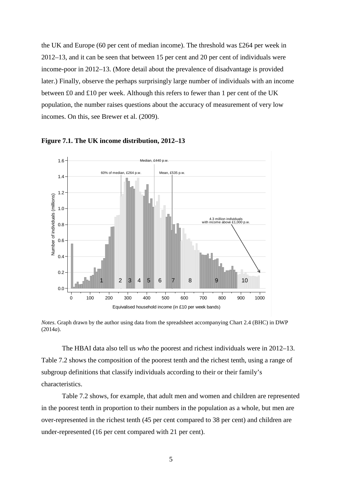the UK and Europe (60 per cent of median income). The threshold was £264 per week in 2012–13, and it can be seen that between 15 per cent and 20 per cent of individuals were income-poor in 2012–13. (More detail about the prevalence of disadvantage is provided later.) Finally, observe the perhaps surprisingly large number of individuals with an income between £0 and £10 per week. Although this refers to fewer than 1 per cent of the UK population, the number raises questions about the accuracy of measurement of very low incomes. On this, see Brewer et al. (2009).





*Notes*. Graph drawn by the author using data from the spreadsheet accompanying Chart 2.4 (BHC) in DWP (2014*a*).

The HBAI data also tell us *who* the poorest and richest individuals were in 2012–13. Table 7.2 shows the composition of the poorest tenth and the richest tenth, using a range of subgroup definitions that classify individuals according to their or their family's characteristics.

Table 7.2 shows, for example, that adult men and women and children are represented in the poorest tenth in proportion to their numbers in the population as a whole, but men are over-represented in the richest tenth (45 per cent compared to 38 per cent) and children are under-represented (16 per cent compared with 21 per cent).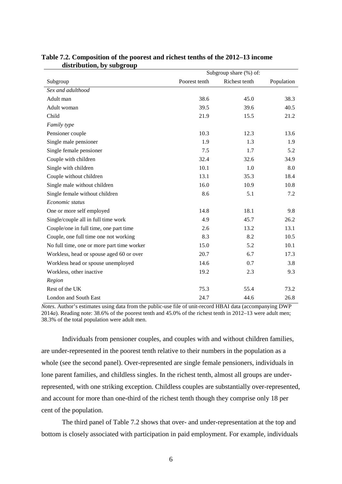|                                            | Subgroup share (%) of: |               |            |  |  |
|--------------------------------------------|------------------------|---------------|------------|--|--|
| Subgroup                                   | Poorest tenth          | Richest tenth | Population |  |  |
| Sex and adulthood                          |                        |               |            |  |  |
| Adult man                                  | 38.6                   | 45.0          | 38.3       |  |  |
| Adult woman                                | 39.5                   | 39.6          | 40.5       |  |  |
| Child                                      | 21.9                   | 15.5          | 21.2       |  |  |
| Family type                                |                        |               |            |  |  |
| Pensioner couple                           | 10.3                   | 12.3          | 13.6       |  |  |
| Single male pensioner                      | 1.9                    | 1.3           | 1.9        |  |  |
| Single female pensioner                    | 7.5                    | 1.7           | 5.2        |  |  |
| Couple with children                       | 32.4                   | 32.6          | 34.9       |  |  |
| Single with children                       | 10.1                   | 1.0           | 8.0        |  |  |
| Couple without children                    | 13.1                   | 35.3          | 18.4       |  |  |
| Single male without children               | 16.0                   | 10.9          | 10.8       |  |  |
| Single female without children             | 8.6                    | 5.1           | 7.2        |  |  |
| Economic status                            |                        |               |            |  |  |
| One or more self employed                  | 14.8                   | 18.1          | 9.8        |  |  |
| Single/couple all in full time work        | 4.9                    | 45.7          | 26.2       |  |  |
| Couple/one in full time, one part time     | 2.6                    | 13.2          | 13.1       |  |  |
| Couple, one full time one not working      | 8.3                    | 8.2           | 10.5       |  |  |
| No full time, one or more part time worker | 15.0                   | 5.2           | 10.1       |  |  |
| Workless, head or spouse aged 60 or over   | 20.7                   | 6.7           | 17.3       |  |  |
| Workless head or spouse unemployed         | 14.6                   | 0.7           | 3.8        |  |  |
| Workless, other inactive                   | 19.2                   | 2.3           | 9.3        |  |  |
| Region                                     |                        |               |            |  |  |
| Rest of the UK                             | 75.3                   | 55.4          | 73.2       |  |  |
| London and South East                      | 24.7                   | 44.6          | 26.8       |  |  |

#### **Table 7.2. Composition of the poorest and richest tenths of the 2012–13 income distribution, by subgroup**

*Notes*. Author's estimates using data from the public-use file of unit-record HBAI data (accompanying DWP 2014*a*). Reading note: 38.6% of the poorest tenth and 45.0% of the richest tenth in 2012–13 were adult men; 38.3% of the total population were adult men.

Individuals from pensioner couples, and couples with and without children families, are under-represented in the poorest tenth relative to their numbers in the population as a whole (see the second panel). Over-represented are single female pensioners, individuals in lone parent families, and childless singles. In the richest tenth, almost all groups are underrepresented, with one striking exception. Childless couples are substantially over-represented, and account for more than one-third of the richest tenth though they comprise only 18 per cent of the population.

The third panel of Table 7.2 shows that over- and under-representation at the top and bottom is closely associated with participation in paid employment. For example, individuals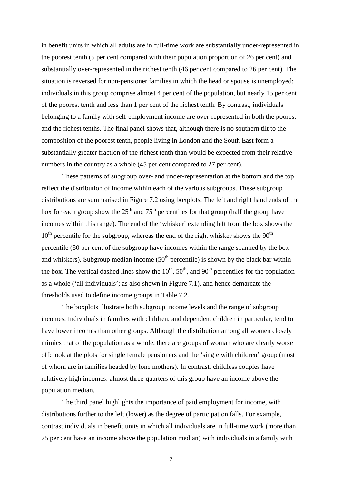in benefit units in which all adults are in full-time work are substantially under-represented in the poorest tenth (5 per cent compared with their population proportion of 26 per cent) and substantially over-represented in the richest tenth (46 per cent compared to 26 per cent). The situation is reversed for non-pensioner families in which the head or spouse is unemployed: individuals in this group comprise almost 4 per cent of the population, but nearly 15 per cent of the poorest tenth and less than 1 per cent of the richest tenth. By contrast, individuals belonging to a family with self-employment income are over-represented in both the poorest and the richest tenths. The final panel shows that, although there is no southern tilt to the composition of the poorest tenth, people living in London and the South East form a substantially greater fraction of the richest tenth than would be expected from their relative numbers in the country as a whole (45 per cent compared to 27 per cent).

These patterns of subgroup over- and under-representation at the bottom and the top reflect the distribution of income within each of the various subgroups. These subgroup distributions are summarised in Figure 7.2 using boxplots. The left and right hand ends of the box for each group show the  $25<sup>th</sup>$  and  $75<sup>th</sup>$  percentiles for that group (half the group have incomes within this range). The end of the 'whisker' extending left from the box shows the  $10<sup>th</sup>$  percentile for the subgroup, whereas the end of the right whisker shows the  $90<sup>th</sup>$ percentile (80 per cent of the subgroup have incomes within the range spanned by the box and whiskers). Subgroup median income  $(50<sup>th</sup>$  percentile) is shown by the black bar within the box. The vertical dashed lines show the  $10^{th}$ ,  $50^{th}$ , and  $90^{th}$  percentiles for the population as a whole ('all individuals'; as also shown in Figure 7.1), and hence demarcate the thresholds used to define income groups in Table 7.2.

The boxplots illustrate both subgroup income levels and the range of subgroup incomes. Individuals in families with children, and dependent children in particular, tend to have lower incomes than other groups. Although the distribution among all women closely mimics that of the population as a whole, there are groups of woman who are clearly worse off: look at the plots for single female pensioners and the 'single with children' group (most of whom are in families headed by lone mothers). In contrast, childless couples have relatively high incomes: almost three-quarters of this group have an income above the population median.

The third panel highlights the importance of paid employment for income, with distributions further to the left (lower) as the degree of participation falls. For example, contrast individuals in benefit units in which all individuals are in full-time work (more than 75 per cent have an income above the population median) with individuals in a family with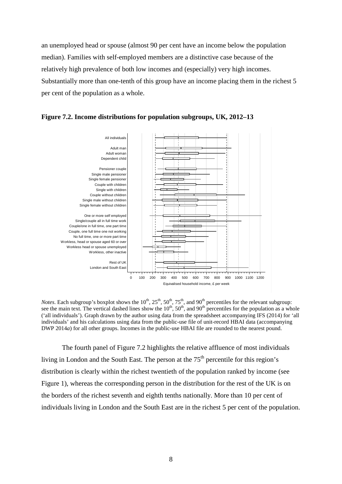an unemployed head or spouse (almost 90 per cent have an income below the population median). Families with self-employed members are a distinctive case because of the relatively high prevalence of both low incomes and (especially) very high incomes. Substantially more than one-tenth of this group have an income placing them in the richest 5 per cent of the population as a whole.



**Figure 7.2. Income distributions for population subgroups, UK, 2012–13** 

*Notes*. Each subgroup's boxplot shows the  $10^{th}$ ,  $25^{th}$ ,  $50^{th}$ ,  $75^{th}$ , and  $90^{th}$  percentiles for the relevant subgroup: see the main text. The vertical dashed lines show the  $10^{th}$ ,  $50^{th}$ , and  $90^{th}$  percentiles for the population as a whole ('all individuals'). Graph drawn by the author using data from the spreadsheet accompanying IFS (2014) for 'all individuals' and his calculations using data from the public-use file of unit-record HBAI data (accompanying DWP 2014*a*) for all other groups. Incomes in the public-use HBAI file are rounded to the nearest pound.

The fourth panel of Figure 7.2 highlights the relative affluence of most individuals living in London and the South East. The person at the  $75<sup>th</sup>$  percentile for this region's distribution is clearly within the richest twentieth of the population ranked by income (see Figure 1), whereas the corresponding person in the distribution for the rest of the UK is on the borders of the richest seventh and eighth tenths nationally. More than 10 per cent of individuals living in London and the South East are in the richest 5 per cent of the population.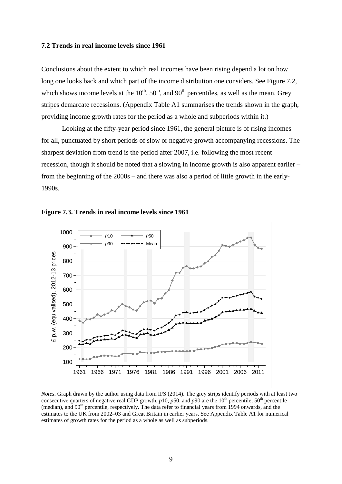#### **7.2 Trends in real income levels since 1961**

Conclusions about the extent to which real incomes have been rising depend a lot on how long one looks back and which part of the income distribution one considers. See Figure 7.2, which shows income levels at the  $10^{th}$ ,  $50^{th}$ , and  $90^{th}$  percentiles, as well as the mean. Grey stripes demarcate recessions. (Appendix Table A1 summarises the trends shown in the graph, providing income growth rates for the period as a whole and subperiods within it.)

Looking at the fifty-year period since 1961, the general picture is of rising incomes for all, punctuated by short periods of slow or negative growth accompanying recessions. The sharpest deviation from trend is the period after 2007, i.e. following the most recent recession, though it should be noted that a slowing in income growth is also apparent earlier – from the beginning of the 2000s – and there was also a period of little growth in the early-1990s.





*Notes*. Graph drawn by the author using data from IFS (2014). The grey strips identify periods with at least two consecutive quarters of negative real GDP growth.  $p10$ ,  $p50$ , and  $p90$  are the  $10<sup>th</sup>$  percentile,  $50<sup>th</sup>$  percentile (median), and 90<sup>th</sup> percentile, respectively. The data refer to financial years from 1994 onwards, and the estimates to the UK from 2002–03 and Great Britain in earlier years. See Appendix Table A1 for numerical estimates of growth rates for the period as a whole as well as subperiods.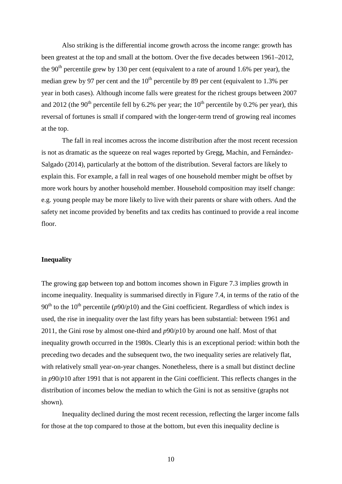Also striking is the differential income growth across the income range: growth has been greatest at the top and small at the bottom. Over the five decades between 1961–2012, the  $90<sup>th</sup>$  percentile grew by 130 per cent (equivalent to a rate of around 1.6% per year), the median grew by 97 per cent and the  $10^{th}$  percentile by 89 per cent (equivalent to 1.3% per year in both cases). Although income falls were greatest for the richest groups between 2007 and 2012 (the 90<sup>th</sup> percentile fell by 6.2% per year; the  $10<sup>th</sup>$  percentile by 0.2% per year), this reversal of fortunes is small if compared with the longer-term trend of growing real incomes at the top.

The fall in real incomes across the income distribution after the most recent recession is not as dramatic as the squeeze on real wages reported by Gregg, Machin, and Fernández-Salgado (2014), particularly at the bottom of the distribution. Several factors are likely to explain this. For example, a fall in real wages of one household member might be offset by more work hours by another household member. Household composition may itself change: e.g. young people may be more likely to live with their parents or share with others. And the safety net income provided by benefits and tax credits has continued to provide a real income floor.

#### **Inequality**

The growing gap between top and bottom incomes shown in Figure 7.3 implies growth in income inequality. Inequality is summarised directly in Figure 7.4, in terms of the ratio of the  $90<sup>th</sup>$  to the 10<sup>th</sup> percentile ( $p90/p10$ ) and the Gini coefficient. Regardless of which index is used, the rise in inequality over the last fifty years has been substantial: between 1961 and 2011, the Gini rose by almost one-third and *p*90/*p*10 by around one half. Most of that inequality growth occurred in the 1980s. Clearly this is an exceptional period: within both the preceding two decades and the subsequent two, the two inequality series are relatively flat, with relatively small year-on-year changes. Nonetheless, there is a small but distinct decline in *p*90/*p*10 after 1991 that is not apparent in the Gini coefficient. This reflects changes in the distribution of incomes below the median to which the Gini is not as sensitive (graphs not shown).

Inequality declined during the most recent recession, reflecting the larger income falls for those at the top compared to those at the bottom, but even this inequality decline is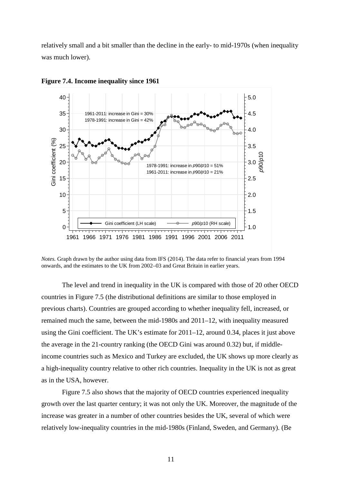relatively small and a bit smaller than the decline in the early- to mid-1970s (when inequality was much lower).



**Figure 7.4. Income inequality since 1961**

*Notes.* Graph drawn by the author using data from IFS (2014). The data refer to financial years from 1994 onwards, and the estimates to the UK from 2002–03 and Great Britain in earlier years.

The level and trend in inequality in the UK is compared with those of 20 other OECD countries in Figure 7.5 (the distributional definitions are similar to those employed in previous charts). Countries are grouped according to whether inequality fell, increased, or remained much the same, between the mid-1980s and 2011–12, with inequality measured using the Gini coefficient. The UK's estimate for 2011–12, around 0.34, places it just above the average in the 21-country ranking (the OECD Gini was around 0.32) but, if middleincome countries such as Mexico and Turkey are excluded, the UK shows up more clearly as a high-inequality country relative to other rich countries. Inequality in the UK is not as great as in the USA, however.

Figure 7.5 also shows that the majority of OECD countries experienced inequality growth over the last quarter century; it was not only the UK. Moreover, the magnitude of the increase was greater in a number of other countries besides the UK, several of which were relatively low-inequality countries in the mid-1980s (Finland, Sweden, and Germany). (Be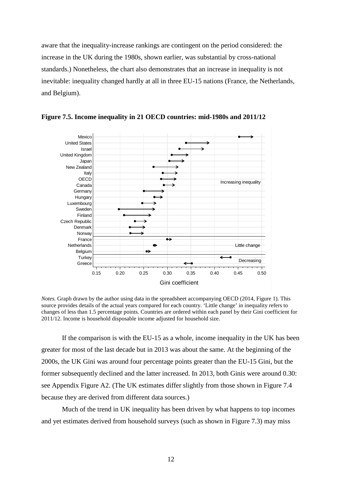aware that the inequality-increase rankings are contingent on the period considered: the increase in the UK during the 1980s, shown earlier, was substantial by cross-national standards.) Nonetheless, the chart also demonstrates that an increase in inequality is not inevitable: inequality changed hardly at all in three EU-15 nations (France, the Netherlands, and Belgium).



**Figure 7.5. Income inequality in 21 OECD countries: mid-1980s and 2011/12**

*Notes.* Graph drawn by the author using data in the spreadsheet accompanying OECD (2014, Figure 1). This source provides details of the actual years compared for each country. 'Little change' in inequality refers to changes of less than 1.5 percentage points. Countries are ordered within each panel by their Gini coefficient for 2011/12. Income is household disposable income adjusted for household size.

If the comparison is with the EU-15 as a whole, income inequality in the UK has been greater for most of the last decade but in 2013 was about the same. At the beginning of the 2000s, the UK Gini was around four percentage points greater than the EU-15 Gini, but the former subsequently declined and the latter increased. In 2013, both Ginis were around 0.30: see Appendix Figure A2. (The UK estimates differ slightly from those shown in Figure 7.4 because they are derived from different data sources.)

Much of the trend in UK inequality has been driven by what happens to top incomes and yet estimates derived from household surveys (such as shown in Figure 7.3) may miss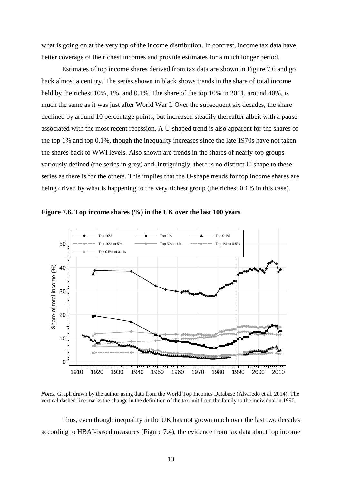what is going on at the very top of the income distribution. In contrast, income tax data have better coverage of the richest incomes and provide estimates for a much longer period.

Estimates of top income shares derived from tax data are shown in Figure 7.6 and go back almost a century. The series shown in black shows trends in the share of total income held by the richest 10%, 1%, and 0.1%. The share of the top 10% in 2011, around 40%, is much the same as it was just after World War I. Over the subsequent six decades, the share declined by around 10 percentage points, but increased steadily thereafter albeit with a pause associated with the most recent recession. A U-shaped trend is also apparent for the shares of the top 1% and top 0.1%, though the inequality increases since the late 1970s have not taken the shares back to WWI levels. Also shown are trends in the shares of nearly-top groups variously defined (the series in grey) and, intriguingly, there is no distinct U-shape to these series as there is for the others. This implies that the U-shape trends for top income shares are being driven by what is happening to the very richest group (the richest 0.1% in this case).





*Notes.* Graph drawn by the author using data from the World Top Incomes Database (Alvaredo et al. 2014). The vertical dashed line marks the change in the definition of the tax unit from the family to the individual in 1990.

Thus, even though inequality in the UK has not grown much over the last two decades according to HBAI-based measures (Figure 7.4), the evidence from tax data about top income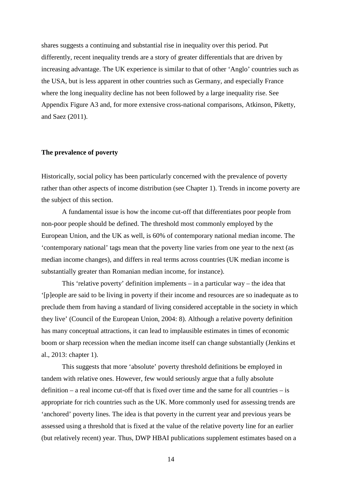shares suggests a continuing and substantial rise in inequality over this period. Put differently, recent inequality trends are a story of greater differentials that are driven by increasing advantage. The UK experience is similar to that of other 'Anglo' countries such as the USA, but is less apparent in other countries such as Germany, and especially France where the long inequality decline has not been followed by a large inequality rise. See Appendix Figure A3 and, for more extensive cross-national comparisons, Atkinson, Piketty, and Saez (2011).

#### **The prevalence of poverty**

Historically, social policy has been particularly concerned with the prevalence of poverty rather than other aspects of income distribution (see Chapter 1). Trends in income poverty are the subject of this section.

A fundamental issue is how the income cut-off that differentiates poor people from non-poor people should be defined. The threshold most commonly employed by the European Union, and the UK as well, is 60% of contemporary national median income. The 'contemporary national' tags mean that the poverty line varies from one year to the next (as median income changes), and differs in real terms across countries (UK median income is substantially greater than Romanian median income, for instance).

This 'relative poverty' definition implements – in a particular way – the idea that '[p]eople are said to be living in poverty if their income and resources are so inadequate as to preclude them from having a standard of living considered acceptable in the society in which they live' (Council of the European Union, 2004: 8). Although a relative poverty definition has many conceptual attractions, it can lead to implausible estimates in times of economic boom or sharp recession when the median income itself can change substantially (Jenkins et al., 2013: chapter 1).

This suggests that more 'absolute' poverty threshold definitions be employed in tandem with relative ones. However, few would seriously argue that a fully absolute definition – a real income cut-off that is fixed over time and the same for all countries – is appropriate for rich countries such as the UK. More commonly used for assessing trends are 'anchored' poverty lines. The idea is that poverty in the current year and previous years be assessed using a threshold that is fixed at the value of the relative poverty line for an earlier (but relatively recent) year. Thus, DWP HBAI publications supplement estimates based on a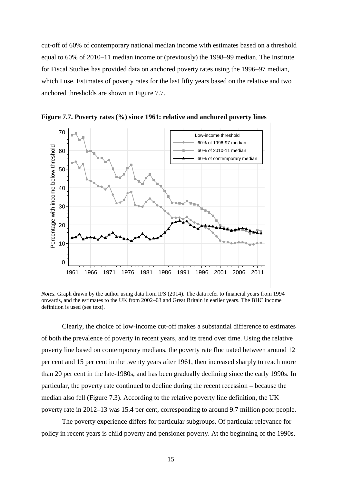cut-off of 60% of contemporary national median income with estimates based on a threshold equal to 60% of 2010–11 median income or (previously) the 1998–99 median. The Institute for Fiscal Studies has provided data on anchored poverty rates using the 1996–97 median, which I use. Estimates of poverty rates for the last fifty years based on the relative and two anchored thresholds are shown in Figure 7.7.



**Figure 7.7. Poverty rates (%) since 1961: relative and anchored poverty lines** 

*Notes.* Graph drawn by the author using data from IFS (2014). The data refer to financial years from 1994 onwards, and the estimates to the UK from 2002–03 and Great Britain in earlier years. The BHC income definition is used (see text).

Clearly, the choice of low-income cut-off makes a substantial difference to estimates of both the prevalence of poverty in recent years, and its trend over time. Using the relative poverty line based on contemporary medians, the poverty rate fluctuated between around 12 per cent and 15 per cent in the twenty years after 1961, then increased sharply to reach more than 20 per cent in the late-1980s, and has been gradually declining since the early 1990s. In particular, the poverty rate continued to decline during the recent recession – because the median also fell (Figure 7.3). According to the relative poverty line definition, the UK poverty rate in 2012–13 was 15.4 per cent, corresponding to around 9.7 million poor people.

The poverty experience differs for particular subgroups. Of particular relevance for policy in recent years is child poverty and pensioner poverty. At the beginning of the 1990s,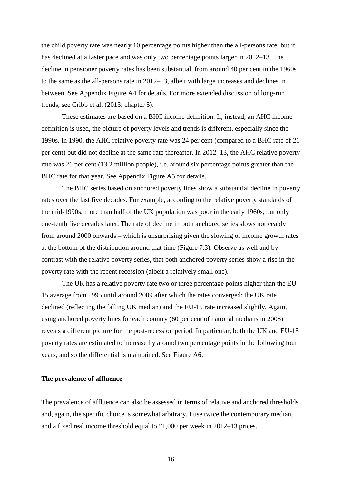the child poverty rate was nearly 10 percentage points higher than the all-persons rate, but it has declined at a faster pace and was only two percentage points larger in 2012–13. The decline in pensioner poverty rates has been substantial, from around 40 per cent in the 1960s to the same as the all-persons rate in 2012–13, albeit with large increases and declines in between. See Appendix Figure A4 for details. For more extended discussion of long-run trends, see Cribb et al. (2013: chapter 5).

These estimates are based on a BHC income definition. If, instead, an AHC income definition is used, the picture of poverty levels and trends is different, especially since the 1990s. In 1990, the AHC relative poverty rate was 24 per cent (compared to a BHC rate of 21 per cent) but did not decline at the same rate thereafter. In 2012–13, the AHC relative poverty rate was 21 per cent (13.2 million people), i.e. around six percentage points greater than the BHC rate for that year. See Appendix Figure A5 for details.

The BHC series based on anchored poverty lines show a substantial decline in poverty rates over the last five decades. For example, according to the relative poverty standards of the mid-1990s, more than half of the UK population was poor in the early 1960s, but only one-tenth five decades later. The rate of decline in both anchored series slows noticeably from around 2000 onwards – which is unsurprising given the slowing of income growth rates at the bottom of the distribution around that time (Figure 7.3). Observe as well and by contrast with the relative poverty series, that both anchored poverty series show a rise in the poverty rate with the recent recession (albeit a relatively small one).

The UK has a relative poverty rate two or three percentage points higher than the EU-15 average from 1995 until around 2009 after which the rates converged: the UK rate declined (reflecting the falling UK median) and the EU-15 rate increased slightly. Again, using anchored poverty lines for each country (60 per cent of national medians in 2008) reveals a different picture for the post-recession period. In particular, both the UK and EU-15 poverty rates are estimated to increase by around two percentage points in the following four years, and so the differential is maintained. See Figure A6.

#### **The prevalence of affluence**

The prevalence of affluence can also be assessed in terms of relative and anchored thresholds and, again, the specific choice is somewhat arbitrary. I use twice the contemporary median, and a fixed real income threshold equal to £1,000 per week in 2012–13 prices.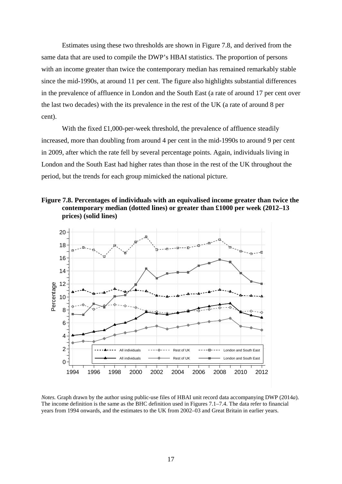Estimates using these two thresholds are shown in Figure 7.8, and derived from the same data that are used to compile the DWP's HBAI statistics. The proportion of persons with an income greater than twice the contemporary median has remained remarkably stable since the mid-1990s, at around 11 per cent. The figure also highlights substantial differences in the prevalence of affluence in London and the South East (a rate of around 17 per cent over the last two decades) with the its prevalence in the rest of the UK (a rate of around 8 per cent).

With the fixed £1,000-per-week threshold, the prevalence of affluence steadily increased, more than doubling from around 4 per cent in the mid-1990s to around 9 per cent in 2009, after which the rate fell by several percentage points. Again, individuals living in London and the South East had higher rates than those in the rest of the UK throughout the period, but the trends for each group mimicked the national picture.

**Figure 7.8. Percentages of individuals with an equivalised income greater than twice the contemporary median (dotted lines) or greater than £1000 per week (2012–13 prices) (solid lines)**



*Notes.* Graph drawn by the author using public-use files of HBAI unit record data accompanying DWP (2014*a*). The income definition is the same as the BHC definition used in Figures 7.1–7.4. The data refer to financial years from 1994 onwards, and the estimates to the UK from 2002–03 and Great Britain in earlier years.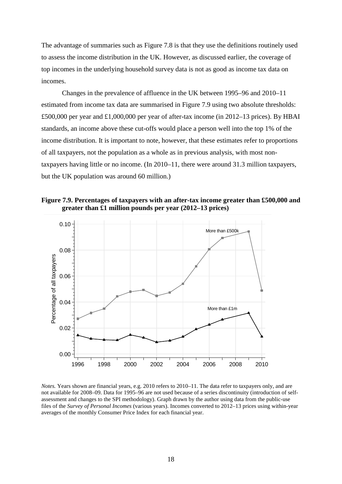The advantage of summaries such as Figure 7.8 is that they use the definitions routinely used to assess the income distribution in the UK. However, as discussed earlier, the coverage of top incomes in the underlying household survey data is not as good as income tax data on incomes.

Changes in the prevalence of affluence in the UK between 1995–96 and 2010–11 estimated from income tax data are summarised in Figure 7.9 using two absolute thresholds: £500,000 per year and £1,000,000 per year of after-tax income (in 2012–13 prices). By HBAI standards, an income above these cut-offs would place a person well into the top 1% of the income distribution. It is important to note, however, that these estimates refer to proportions of all taxpayers, not the population as a whole as in previous analysis, with most nontaxpayers having little or no income. (In 2010–11, there were around 31.3 million taxpayers, but the UK population was around 60 million.)

**Figure 7.9. Percentages of taxpayers with an after-tax income greater than £500,000 and greater than £1 million pounds per year (2012–13 prices)**



*Notes.* Years shown are financial years, e.g. 2010 refers to 2010–11. The data refer to taxpayers only, and are not available for 2008–09. Data for 1995–96 are not used because of a series discontinuity (introduction of selfassessment and changes to the SPI methodology). Graph drawn by the author using data from the public-use files of the *Survey of Personal Incomes* (various years). Incomes converted to 2012–13 prices using within-year averages of the monthly Consumer Price Index for each financial year.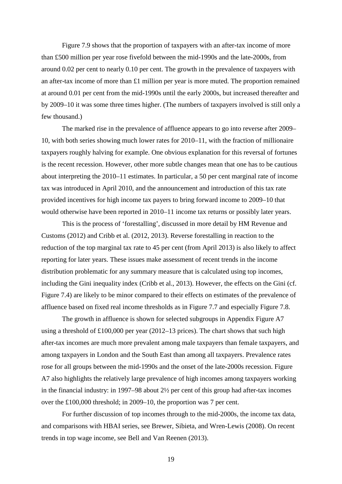Figure 7.9 shows that the proportion of taxpayers with an after-tax income of more than £500 million per year rose fivefold between the mid-1990s and the late-2000s, from around 0.02 per cent to nearly 0.10 per cent. The growth in the prevalence of taxpayers with an after-tax income of more than £1 million per year is more muted. The proportion remained at around 0.01 per cent from the mid-1990s until the early 2000s, but increased thereafter and by 2009–10 it was some three times higher. (The numbers of taxpayers involved is still only a few thousand.)

The marked rise in the prevalence of affluence appears to go into reverse after 2009– 10, with both series showing much lower rates for 2010–11, with the fraction of millionaire taxpayers roughly halving for example. One obvious explanation for this reversal of fortunes is the recent recession. However, other more subtle changes mean that one has to be cautious about interpreting the 2010–11 estimates. In particular, a 50 per cent marginal rate of income tax was introduced in April 2010, and the announcement and introduction of this tax rate provided incentives for high income tax payers to bring forward income to 2009–10 that would otherwise have been reported in 2010–11 income tax returns or possibly later years.

This is the process of 'forestalling', discussed in more detail by HM Revenue and Customs (2012) and Cribb et al. (2012, 2013). Reverse forestalling in reaction to the reduction of the top marginal tax rate to 45 per cent (from April 2013) is also likely to affect reporting for later years. These issues make assessment of recent trends in the income distribution problematic for any summary measure that is calculated using top incomes, including the Gini inequality index (Cribb et al., 2013). However, the effects on the Gini (cf. Figure 7.4) are likely to be minor compared to their effects on estimates of the prevalence of affluence based on fixed real income thresholds as in Figure 7.7 and especially Figure 7.8.

The growth in affluence is shown for selected subgroups in Appendix Figure A7 using a threshold of £100,000 per year (2012–13 prices). The chart shows that such high after-tax incomes are much more prevalent among male taxpayers than female taxpayers, and among taxpayers in London and the South East than among all taxpayers. Prevalence rates rose for all groups between the mid-1990s and the onset of the late-2000s recession. Figure A7 also highlights the relatively large prevalence of high incomes among taxpayers working in the financial industry: in 1997–98 about 2½ per cent of this group had after-tax incomes over the £100,000 threshold; in 2009–10, the proportion was 7 per cent.

For further discussion of top incomes through to the mid-2000s, the income tax data, and comparisons with HBAI series, see Brewer, Sibieta, and Wren-Lewis (2008). On recent trends in top wage income, see Bell and Van Reenen (2013).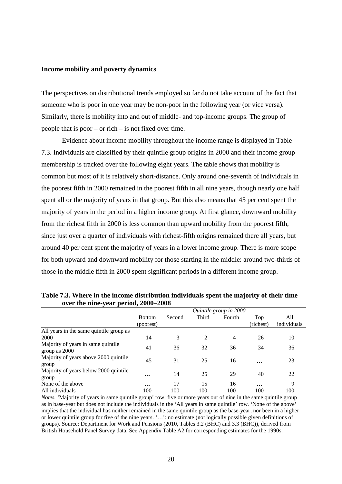#### **Income mobility and poverty dynamics**

The perspectives on distributional trends employed so far do not take account of the fact that someone who is poor in one year may be non-poor in the following year (or vice versa). Similarly, there is mobility into and out of middle- and top-income groups. The group of people that is poor – or rich – is not fixed over time.

Evidence about income mobility throughout the income range is displayed in Table 7.3. Individuals are classified by their quintile group origins in 2000 and their income group membership is tracked over the following eight years. The table shows that mobility is common but most of it is relatively short-distance. Only around one-seventh of individuals in the poorest fifth in 2000 remained in the poorest fifth in all nine years, though nearly one half spent all or the majority of years in that group. But this also means that 45 per cent spent the majority of years in the period in a higher income group. At first glance, downward mobility from the richest fifth in 2000 is less common than upward mobility from the poorest fifth, since just over a quarter of individuals with richest-fifth origins remained there all years, but around 40 per cent spent the majority of years in a lower income group. There is more scope for both upward and downward mobility for those starting in the middle: around two-thirds of those in the middle fifth in 2000 spent significant periods in a different income group.

|                                                     | Quintile group in 2000 |        |                |                |           |             |
|-----------------------------------------------------|------------------------|--------|----------------|----------------|-----------|-------------|
|                                                     | <b>Bottom</b>          | Second | Third          | Fourth         | Top       | All         |
|                                                     | (poorest)              |        |                |                | (richest) | individuals |
| All years in the same quintile group as             |                        |        |                |                |           |             |
| 2000                                                | 14                     | 3      | $\overline{2}$ | $\overline{4}$ | 26        | 10          |
| Majority of years in same quintile<br>group as 2000 | 41                     | 36     | 32             | 36             | 34        | 36          |
| Majority of years above 2000 quintile.<br>group     | 45                     | 31     | 25             | 16             | $\cdots$  | 23          |
| Majority of years below 2000 quintile<br>group      | $\ddotsc$              | 14     | 25             | 29             | 40        | 22          |
| None of the above                                   | $\cdots$               | 17     | 15             | 16             | $\cdots$  | 9           |
| All individuals                                     | 100                    | 100    | 100            | 100            | 100       | 100         |

**Table 7.3. Where in the income distribution individuals spent the majority of their time over the nine-year period, 2000–2008**

*Notes.* 'Majority of years in same quintile group' row: five or more years out of nine in the same quintile group as in base-year but does not include the individuals in the 'All years in same quintile' row. 'None of the above' implies that the individual has neither remained in the same quintile group as the base-year, nor been in a higher or lower quintile group for five of the nine years. '…': no estimate (not logically possible given definitions of groups). Source: Department for Work and Pensions (2010, Tables 3.2 (BHC) and 3.3 (BHC)), derived from British Household Panel Survey data. See Appendix Table A2 for corresponding estimates for the 1990s.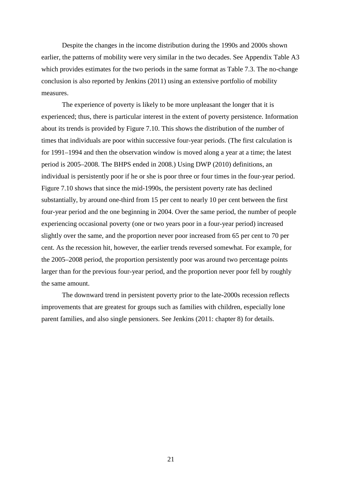Despite the changes in the income distribution during the 1990s and 2000s shown earlier, the patterns of mobility were very similar in the two decades. See Appendix Table A3 which provides estimates for the two periods in the same format as Table 7.3. The no-change conclusion is also reported by Jenkins (2011) using an extensive portfolio of mobility measures.

The experience of poverty is likely to be more unpleasant the longer that it is experienced; thus, there is particular interest in the extent of poverty persistence. Information about its trends is provided by Figure 7.10. This shows the distribution of the number of times that individuals are poor within successive four-year periods. (The first calculation is for 1991–1994 and then the observation window is moved along a year at a time; the latest period is 2005–2008. The BHPS ended in 2008.) Using DWP (2010) definitions, an individual is persistently poor if he or she is poor three or four times in the four-year period. Figure 7.10 shows that since the mid-1990s, the persistent poverty rate has declined substantially, by around one-third from 15 per cent to nearly 10 per cent between the first four-year period and the one beginning in 2004. Over the same period, the number of people experiencing occasional poverty (one or two years poor in a four-year period) increased slightly over the same, and the proportion never poor increased from 65 per cent to 70 per cent. As the recession hit, however, the earlier trends reversed somewhat. For example, for the 2005–2008 period, the proportion persistently poor was around two percentage points larger than for the previous four-year period, and the proportion never poor fell by roughly the same amount.

The downward trend in persistent poverty prior to the late-2000s recession reflects improvements that are greatest for groups such as families with children, especially lone parent families, and also single pensioners. See Jenkins (2011: chapter 8) for details.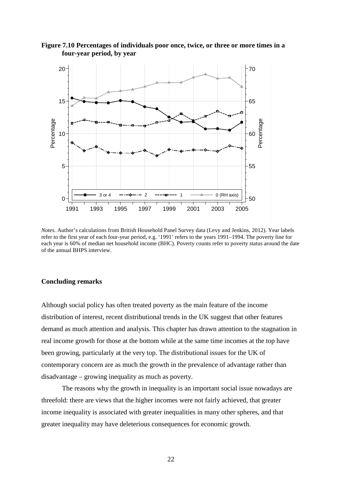

**Figure 7.10 Percentages of individuals poor once, twice, or three or more times in a four-year period, by year**

*Notes.* Author's calculations from British Household Panel Survey data (Levy and Jenkins, 2012). Year labels refer to the first year of each four-year period, e.g. '1991' refers to the years 1991–1994. The poverty line for each year is 60% of median net household income (BHC). Poverty counts refer to poverty status around the date of the annual BHPS interview.

#### **Concluding remarks**

Although social policy has often treated poverty as the main feature of the income distribution of interest, recent distributional trends in the UK suggest that other features demand as much attention and analysis. This chapter has drawn attention to the stagnation in real income growth for those at the bottom while at the same time incomes at the top have been growing, particularly at the very top. The distributional issues for the UK of contemporary concern are as much the growth in the prevalence of advantage rather than disadvantage – growing inequality as much as poverty.

The reasons why the growth in inequality is an important social issue nowadays are threefold: there are views that the higher incomes were not fairly achieved, that greater income inequality is associated with greater inequalities in many other spheres, and that greater inequality may have deleterious consequences for economic growth.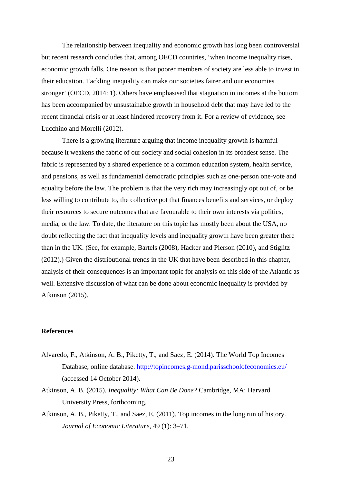The relationship between inequality and economic growth has long been controversial but recent research concludes that, among OECD countries, 'when income inequality rises, economic growth falls. One reason is that poorer members of society are less able to invest in their education. Tackling inequality can make our societies fairer and our economies stronger' (OECD, 2014: 1). Others have emphasised that stagnation in incomes at the bottom has been accompanied by unsustainable growth in household debt that may have led to the recent financial crisis or at least hindered recovery from it. For a review of evidence, see Lucchino and Morelli (2012).

There is a growing literature arguing that income inequality growth is harmful because it weakens the fabric of our society and social cohesion in its broadest sense. The fabric is represented by a shared experience of a common education system, health service, and pensions, as well as fundamental democratic principles such as one-person one-vote and equality before the law. The problem is that the very rich may increasingly opt out of, or be less willing to contribute to, the collective pot that finances benefits and services, or deploy their resources to secure outcomes that are favourable to their own interests via politics, media, or the law. To date, the literature on this topic has mostly been about the USA, no doubt reflecting the fact that inequality levels and inequality growth have been greater there than in the UK. (See, for example, Bartels (2008), Hacker and Pierson (2010), and Stiglitz (2012).) Given the distributional trends in the UK that have been described in this chapter, analysis of their consequences is an important topic for analysis on this side of the Atlantic as well. Extensive discussion of what can be done about economic inequality is provided by Atkinson (2015).

#### **References**

- Alvaredo, F., Atkinson, A. B., Piketty, T., and Saez, E. (2014). The World Top Incomes Database, online database.<http://topincomes.g-mond.parisschoolofeconomics.eu/> (accessed 14 October 2014).
- Atkinson, A. B. (2015). *Inequality: What Can Be Done?* Cambridge, MA: Harvard University Press, forthcoming.
- Atkinson, A. B., Piketty, T., and Saez, E. (2011). Top incomes in the long run of history. *Journal of Economic Literature*, 49 (1): 3–71.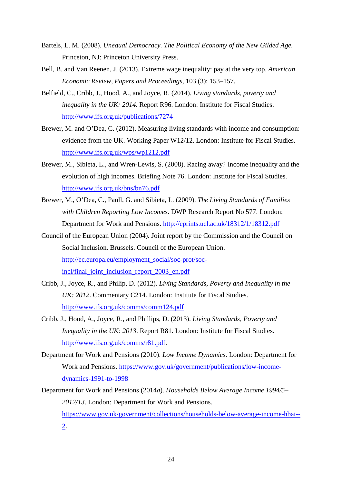- Bartels, L. M. (2008). *Unequal Democracy. The Political Economy of the New Gilded Age.* Princeton, NJ: Princeton University Press.
- Bell, B. and Van Reenen, J. (2013). Extreme wage inequality: pay at the very top. *American Economic Review, Papers and Proceedings*, 103 (3): 153–157.
- Belfield, C., Cribb, J., Hood, A., and Joyce, R. (2014). *Living standards, poverty and inequality in the UK: 2014*. Report R96. London: Institute for Fiscal Studies. <http://www.ifs.org.uk/publications/7274>
- Brewer, M. and O'Dea, C. (2012). Measuring living standards with income and consumption: evidence from the UK. Working Paper W12/12. London: Institute for Fiscal Studies. <http://www.ifs.org.uk/wps/wp1212.pdf>
- Brewer, M., Sibieta, L., and Wren-Lewis, S. (2008). Racing away? Income inequality and the evolution of high incomes. Briefing Note 76. London: Institute for Fiscal Studies. <http://www.ifs.org.uk/bns/bn76.pdf>
- Brewer, M., O'Dea, C., Paull, G. and Sibieta, L. (2009). *The Living Standards of Families with Children Reporting Low Incomes*. DWP Research Report No 577. London: Department for Work and Pensions.<http://eprints.ucl.ac.uk/18312/1/18312.pdf>
- Council of the European Union (2004). Joint report by the Commission and the Council on Social Inclusion. Brussels. Council of the European Union. [http://ec.europa.eu/employment\\_social/soc-prot/soc](http://ec.europa.eu/employment_social/soc-prot/soc-incl/final_joint_inclusion_report_2003_en.pdf)[incl/final\\_joint\\_inclusion\\_report\\_2003\\_en.pdf](http://ec.europa.eu/employment_social/soc-prot/soc-incl/final_joint_inclusion_report_2003_en.pdf)
- Cribb, J., Joyce, R., and Philip, D. (2012). *Living Standards, Poverty and Inequality in the UK: 2012*. Commentary C214. London: Institute for Fiscal Studies. <http://www.ifs.org.uk/comms/comm124.pdf>
- Cribb, J., Hood, A., Joyce, R., and Phillips, D. (2013). *Living Standards, Poverty and Inequality in the UK: 2013*. Report R81. London: Institute for Fiscal Studies. [http://www.ifs.org.uk/comms/r81.pdf.](http://www.ifs.org.uk/comms/r81.pdf)
- Department for Work and Pensions (2010). *Low Income Dynamics*. London: Department for Work and Pensions. [https://www.gov.uk/government/publications/low-income](https://www.gov.uk/government/publications/low-income-dynamics-1991-to-1998)[dynamics-1991-to-1998](https://www.gov.uk/government/publications/low-income-dynamics-1991-to-1998)
- Department for Work and Pensions (2014*a*). *Households Below Average Income 1994/5– 2012/13*. London: Department for Work and Pensions. [https://www.gov.uk/government/collections/households-below-average-income-hbai--](https://www.gov.uk/government/collections/households-below-average-income-hbai--2) [2.](https://www.gov.uk/government/collections/households-below-average-income-hbai--2)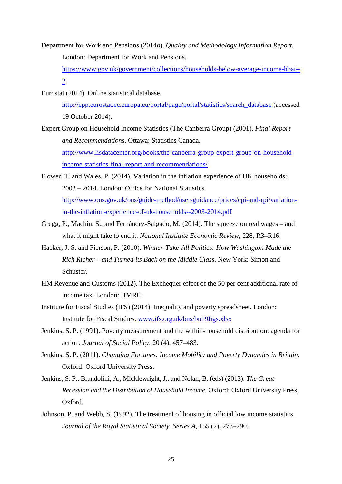Department for Work and Pensions (2014*b*). *Quality and Methodology Information Report.*  London: Department for Work and Pensions.

[https://www.gov.uk/government/collections/households-below-average-income-hbai--](https://www.gov.uk/government/collections/households-below-average-income-hbai--2) [2.](https://www.gov.uk/government/collections/households-below-average-income-hbai--2)

Eurostat (2014). Online statistical database.

[http://epp.eurostat.ec.europa.eu/portal/page/portal/statistics/search\\_database](http://epp.eurostat.ec.europa.eu/portal/page/portal/statistics/search_database) (accessed 19 October 2014).

Expert Group on Household Income Statistics (The Canberra Group) (2001). *Final Report and Recommendations*. Ottawa: Statistics Canada.

[http://www.lisdatacenter.org/books/the-canberra-group-expert-group-on-household](http://www.lisdatacenter.org/books/the-canberra-group-expert-group-on-household-income-statistics-final-report-and-recommendations/)[income-statistics-final-report-and-recommendations/](http://www.lisdatacenter.org/books/the-canberra-group-expert-group-on-household-income-statistics-final-report-and-recommendations/)

- Flower, T. and Wales, P. (2014). Variation in the inflation experience of UK households: 2003 – 2014. London: Office for National Statistics. [http://www.ons.gov.uk/ons/guide-method/user-guidance/prices/cpi-and-rpi/variation](http://www.ons.gov.uk/ons/guide-method/user-guidance/prices/cpi-and-rpi/variation-in-the-inflation-experience-of-uk-households--2003-2014.pdf)[in-the-inflation-experience-of-uk-households--2003-2014.pdf](http://www.ons.gov.uk/ons/guide-method/user-guidance/prices/cpi-and-rpi/variation-in-the-inflation-experience-of-uk-households--2003-2014.pdf)
- Gregg, P., Machin, S., and Fernández-Salgado, M. (2014). The squeeze on real wages and what it might take to end it. *National Institute Economic Review*, 228, R3–R16.
- Hacker, J. S. and Pierson, P. (2010). *Winner-Take-All Politics: How Washington Made the Rich Richer – and Turned its Back on the Middle Class*. New York: Simon and Schuster.
- HM Revenue and Customs (2012). The Exchequer effect of the 50 per cent additional rate of income tax. London: HMRC.
- Institute for Fiscal Studies (IFS) (2014). Inequality and poverty spreadsheet. London: Institute for Fiscal Studies. [www.ifs.org.uk/bns/bn19figs.xlsx](http://www.ifs.org.uk/bns/bn19figs.xlsx)
- Jenkins, S. P. (1991). Poverty measurement and the within-household distribution: agenda for action. *Journal of Social Policy*, 20 (4), 457–483.
- Jenkins, S. P. (2011). *Changing Fortunes: Income Mobility and Poverty Dynamics in Britain.* Oxford: Oxford University Press.
- Jenkins, S. P., Brandolini, A., Micklewright, J., and Nolan, B. (eds) (2013). *The Great Recession and the Distribution of Household Income*. Oxford: Oxford University Press, Oxford.
- Johnson, P. and Webb, S. (1992). The treatment of housing in official low income statistics. *Journal of the Royal Statistical Society. Series A*, 155 (2), 273–290.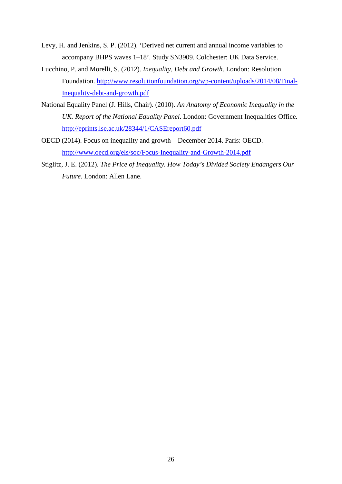- Levy, H. and Jenkins, S. P. (2012). 'Derived net current and annual income variables to accompany BHPS waves 1–18'. Study SN3909. Colchester: UK Data Service.
- Lucchino, P. and Morelli, S. (2012). *Inequality, Debt and Growth*. London: Resolution Foundation. [http://www.resolutionfoundation.org/wp-content/uploads/2014/08/Final-](http://www.resolutionfoundation.org/wp-content/uploads/2014/08/Final-Inequality-debt-and-growth.pdf)[Inequality-debt-and-growth.pdf](http://www.resolutionfoundation.org/wp-content/uploads/2014/08/Final-Inequality-debt-and-growth.pdf)
- National Equality Panel (J. Hills, Chair). (2010). *An Anatomy of Economic Inequality in the UK. Report of the National Equality Panel*. London: Government Inequalities Office. <http://eprints.lse.ac.uk/28344/1/CASEreport60.pdf>
- OECD (2014). Focus on inequality and growth December 2014. Paris: OECD. <http://www.oecd.org/els/soc/Focus-Inequality-and-Growth-2014.pdf>
- Stiglitz, J. E. (2012). *The Price of Inequality. How Today's Divided Society Endangers Our Future*. London: Allen Lane.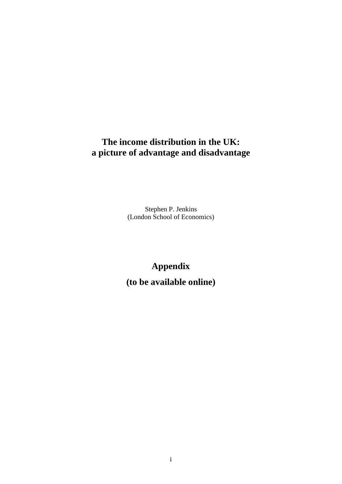## **The income distribution in the UK: a picture of advantage and disadvantage**

Stephen P. Jenkins (London School of Economics)

# **Appendix**

**(to be available online)**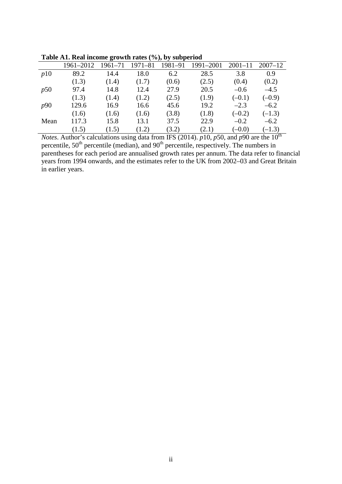|      | 1961–2012 | $1961 - 71$ | $1971 - 81$ | 1981–91 | 1991-2001 | $2001 - 11$ | $2007 - 12$ |
|------|-----------|-------------|-------------|---------|-----------|-------------|-------------|
| p10  | 89.2      | 14.4        | 18.0        | 6.2     | 28.5      | 3.8         | 0.9         |
|      | (1.3)     | (1.4)       | (1.7)       | (0.6)   | (2.5)     | (0.4)       | (0.2)       |
| p50  | 97.4      | 14.8        | 12.4        | 27.9    | 20.5      | $-0.6$      | $-4.5$      |
|      | (1.3)     | (1.4)       | (1.2)       | (2.5)   | (1.9)     | $(-0.1)$    | $(-0.9)$    |
| p90  | 129.6     | 16.9        | 16.6        | 45.6    | 19.2      | $-2.3$      | $-6.2$      |
|      | (1.6)     | (1.6)       | (1.6)       | (3.8)   | (1.8)     | $(-0.2)$    | $(-1.3)$    |
| Mean | 117.3     | 15.8        | 13.1        | 37.5    | 22.9      | $-0.2$      | $-6.2$      |
|      | (1.5)     | (1.5)       | (1.2)       | (3.2)   | (2.1)     | $(-0.0)$    | $(-1.3)$    |

**Table A1. Real income growth rates (%), by subperiod**

*Notes*. Author's calculations using data from IFS (2014). *p*10, *p*50, and *p*90 are the 10<sup>th</sup> percentile,  $50<sup>th</sup>$  percentile (median), and  $90<sup>th</sup>$  percentile, respectively. The numbers in parentheses for each period are annualised growth rates per annum. The data refer to financial years from 1994 onwards, and the estimates refer to the UK from 2002–03 and Great Britain in earlier years.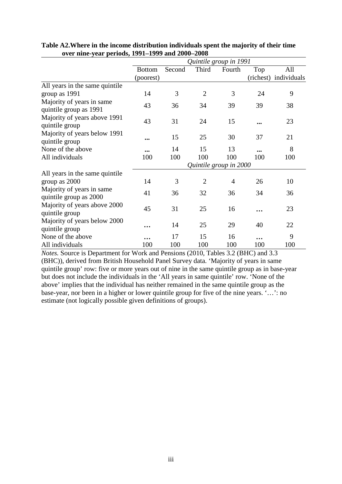|                                                     | Quintile group in 1991 |        |                |                |                         |                       |  |  |
|-----------------------------------------------------|------------------------|--------|----------------|----------------|-------------------------|-----------------------|--|--|
|                                                     | <b>Bottom</b>          | Second | Third          | Fourth         | Top                     | All                   |  |  |
|                                                     | (poorest)              |        |                |                |                         | (richest) individuals |  |  |
| All years in the same quintile                      |                        |        |                |                |                         |                       |  |  |
| group as 1991                                       | 14                     | 3      | $\overline{2}$ | 3              | 24                      | 9                     |  |  |
| Majority of years in same<br>quintile group as 1991 | 43                     | 36     | 34             | 39             | 39                      | 38                    |  |  |
| Majority of years above 1991<br>quintile group      | 43                     | 31     | 24             | 15             |                         | 23                    |  |  |
| Majority of years below 1991<br>quintile group      | $\cdots$               | 15     | 25             | 30             | 37                      | 21                    |  |  |
| None of the above                                   | $\cdots$               | 14     | 15             | 13             | $\bullet\bullet\bullet$ | 8                     |  |  |
| All individuals                                     | 100                    | 100    | 100            | 100            | 100                     | 100                   |  |  |
|                                                     | Quintile group in 2000 |        |                |                |                         |                       |  |  |
| All years in the same quintile.                     |                        |        |                |                |                         |                       |  |  |
| group as 2000                                       | 14                     | 3      | $\overline{2}$ | $\overline{4}$ | 26                      | 10                    |  |  |
| Majority of years in same<br>quintile group as 2000 | 41                     | 36     | 32             | 36             | 34                      | 36                    |  |  |
| Majority of years above 2000<br>quintile group      | 45                     | 31     | 25             | 16             |                         | 23                    |  |  |
| Majority of years below 2000<br>quintile group      | $\ddotsc$              | 14     | 25             | 29             | 40                      | 22                    |  |  |
| None of the above                                   | $\ddotsc$              | 17     | 15             | 16             | .                       | 9                     |  |  |
| All individuals                                     | 100                    | 100    | 100            | 100            | 100                     | 100                   |  |  |

#### **Table A2.Where in the income distribution individuals spent the majority of their time over nine-year periods, 1991–1999 and 2000–2008**

*Notes.* Source is Department for Work and Pensions (2010, Tables 3.2 (BHC) and 3.3 (BHC)), derived from British Household Panel Survey data. 'Majority of years in same quintile group' row: five or more years out of nine in the same quintile group as in base-year but does not include the individuals in the 'All years in same quintile' row. 'None of the above' implies that the individual has neither remained in the same quintile group as the base-year, nor been in a higher or lower quintile group for five of the nine years. '…': no estimate (not logically possible given definitions of groups).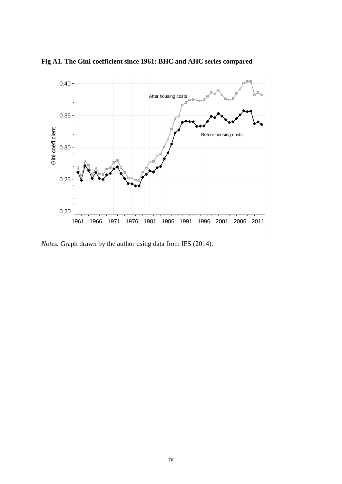

**Fig A1. The Gini coefficient since 1961: BHC and AHC series compared**

*Notes.* Graph drawn by the author using data from IFS (2014).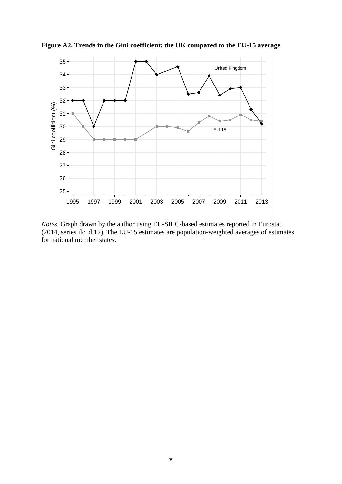

**Figure A2. Trends in the Gini coefficient: the UK compared to the EU-15 average**

*Notes*. Graph drawn by the author using EU-SILC-based estimates reported in Eurostat (2014, series ilc\_di12). The EU-15 estimates are population-weighted averages of estimates for national member states.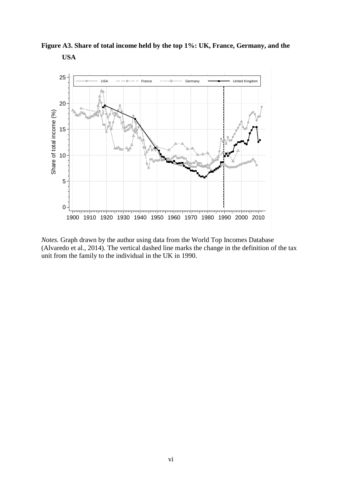**Figure A3. Share of total income held by the top 1%: UK, France, Germany, and the USA**



*Notes.* Graph drawn by the author using data from the World Top Incomes Database (Alvaredo et al., 2014). The vertical dashed line marks the change in the definition of the tax unit from the family to the individual in the UK in 1990.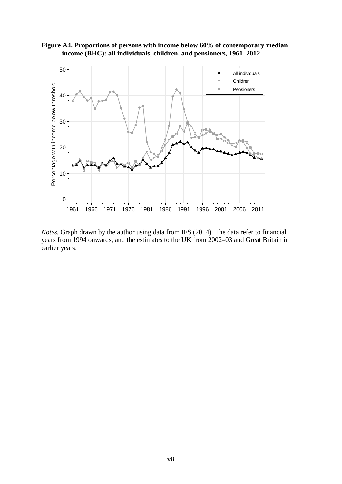



*Notes.* Graph drawn by the author using data from IFS (2014). The data refer to financial years from 1994 onwards, and the estimates to the UK from 2002–03 and Great Britain in earlier years.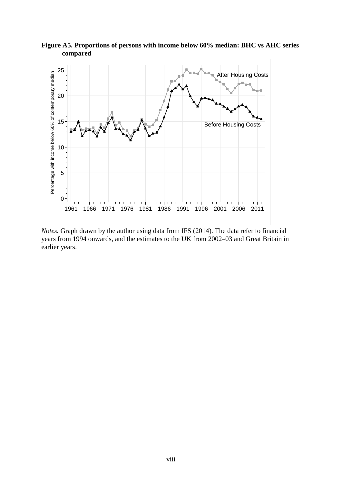

**Figure A5. Proportions of persons with income below 60% median: BHC vs AHC series compared**

*Notes.* Graph drawn by the author using data from IFS (2014). The data refer to financial years from 1994 onwards, and the estimates to the UK from 2002–03 and Great Britain in earlier years.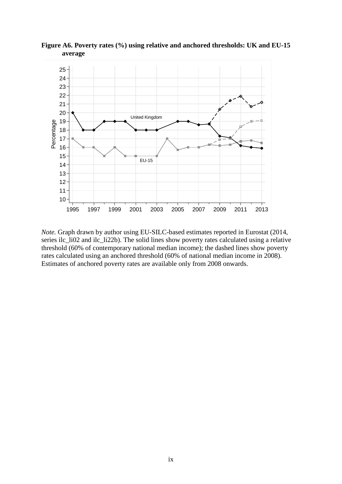

**Figure A6. Poverty rates (%) using relative and anchored thresholds: UK and EU-15 average**

*Note.* Graph drawn by author using EU-SILC-based estimates reported in Eurostat (2014, series ilc\_li02 and ilc\_li22b). The solid lines show poverty rates calculated using a relative threshold (60% of contemporary national median income); the dashed lines show poverty rates calculated using an anchored threshold (60% of national median income in 2008). Estimates of anchored poverty rates are available only from 2008 onwards.